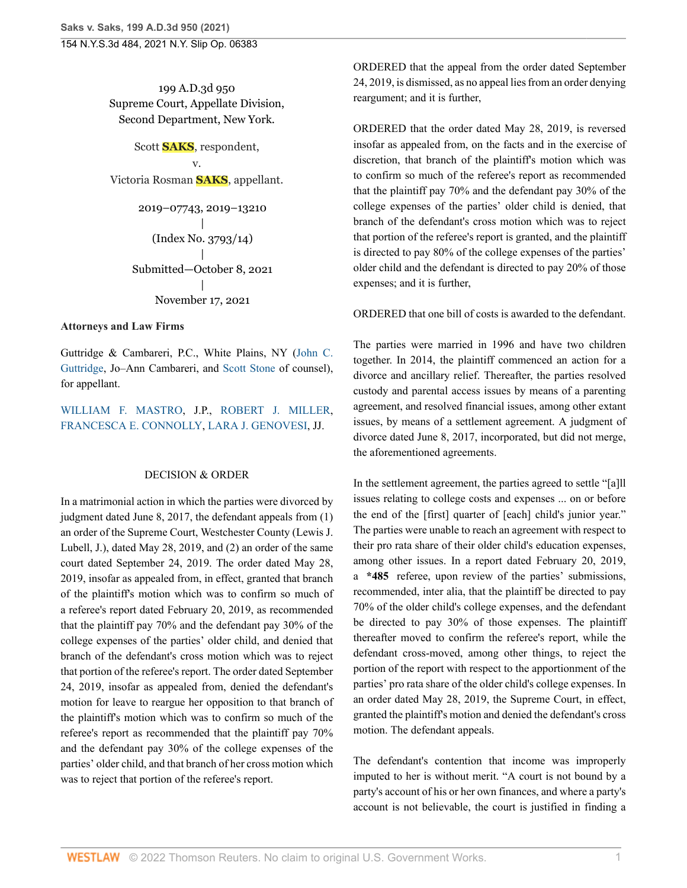199 A.D.3d 950 Supreme Court, Appellate Division, Second Department, New York.

Scott **SAKS**, respondent, v. Victoria Rosman **SAKS**, appellant.

```
2019–07743, 2019–13210
             |
   (Index No. 3793/14)
             |
Submitted—October 8, 2021
             |
    November 17, 2021
```
## **Attorneys and Law Firms**

Guttridge & Cambareri, P.C., White Plains, NY [\(John C.](http://www.westlaw.com/Link/Document/FullText?findType=h&pubNum=176284&cite=0206358501&originatingDoc=I7bd21c2047db11ecbc0b8d609f9f6bdf&refType=RQ&originationContext=document&vr=3.0&rs=cblt1.0&transitionType=DocumentItem&contextData=(sc.Search)) [Guttridge](http://www.westlaw.com/Link/Document/FullText?findType=h&pubNum=176284&cite=0206358501&originatingDoc=I7bd21c2047db11ecbc0b8d609f9f6bdf&refType=RQ&originationContext=document&vr=3.0&rs=cblt1.0&transitionType=DocumentItem&contextData=(sc.Search)), Jo–Ann Cambareri, and [Scott Stone](http://www.westlaw.com/Link/Document/FullText?findType=h&pubNum=176284&cite=0326321801&originatingDoc=I7bd21c2047db11ecbc0b8d609f9f6bdf&refType=RQ&originationContext=document&vr=3.0&rs=cblt1.0&transitionType=DocumentItem&contextData=(sc.Search)) of counsel), for appellant.

[WILLIAM F. MASTRO,](http://www.westlaw.com/Link/Document/FullText?findType=h&pubNum=176284&cite=0107935801&originatingDoc=I7bd21c2047db11ecbc0b8d609f9f6bdf&refType=RQ&originationContext=document&vr=3.0&rs=cblt1.0&transitionType=DocumentItem&contextData=(sc.Search)) J.P., [ROBERT J. MILLER](http://www.westlaw.com/Link/Document/FullText?findType=h&pubNum=176284&cite=0238268101&originatingDoc=I7bd21c2047db11ecbc0b8d609f9f6bdf&refType=RQ&originationContext=document&vr=3.0&rs=cblt1.0&transitionType=DocumentItem&contextData=(sc.Search)), [FRANCESCA E. CONNOLLY](http://www.westlaw.com/Link/Document/FullText?findType=h&pubNum=176284&cite=0144518701&originatingDoc=I7bd21c2047db11ecbc0b8d609f9f6bdf&refType=RQ&originationContext=document&vr=3.0&rs=cblt1.0&transitionType=DocumentItem&contextData=(sc.Search)), [LARA J. GENOVESI,](http://www.westlaw.com/Link/Document/FullText?findType=h&pubNum=176284&cite=0487571101&originatingDoc=I7bd21c2047db11ecbc0b8d609f9f6bdf&refType=RQ&originationContext=document&vr=3.0&rs=cblt1.0&transitionType=DocumentItem&contextData=(sc.Search)) JJ.

## DECISION & ORDER

In a matrimonial action in which the parties were divorced by judgment dated June 8, 2017, the defendant appeals from (1) an order of the Supreme Court, Westchester County (Lewis J. Lubell, J.), dated May 28, 2019, and (2) an order of the same court dated September 24, 2019. The order dated May 28, 2019, insofar as appealed from, in effect, granted that branch of the plaintiff's motion which was to confirm so much of a referee's report dated February 20, 2019, as recommended that the plaintiff pay 70% and the defendant pay 30% of the college expenses of the parties' older child, and denied that branch of the defendant's cross motion which was to reject that portion of the referee's report. The order dated September 24, 2019, insofar as appealed from, denied the defendant's motion for leave to reargue her opposition to that branch of the plaintiff's motion which was to confirm so much of the referee's report as recommended that the plaintiff pay 70% and the defendant pay 30% of the college expenses of the parties' older child, and that branch of her cross motion which was to reject that portion of the referee's report.

ORDERED that the appeal from the order dated September 24, 2019, is dismissed, as no appeal lies from an order denying reargument; and it is further,

ORDERED that the order dated May 28, 2019, is reversed insofar as appealed from, on the facts and in the exercise of discretion, that branch of the plaintiff's motion which was to confirm so much of the referee's report as recommended that the plaintiff pay 70% and the defendant pay 30% of the college expenses of the parties' older child is denied, that branch of the defendant's cross motion which was to reject that portion of the referee's report is granted, and the plaintiff is directed to pay 80% of the college expenses of the parties' older child and the defendant is directed to pay 20% of those expenses; and it is further,

# ORDERED that one bill of costs is awarded to the defendant.

The parties were married in 1996 and have two children together. In 2014, the plaintiff commenced an action for a divorce and ancillary relief. Thereafter, the parties resolved custody and parental access issues by means of a parenting agreement, and resolved financial issues, among other extant issues, by means of a settlement agreement. A judgment of divorce dated June 8, 2017, incorporated, but did not merge, the aforementioned agreements.

In the settlement agreement, the parties agreed to settle "[a]ll issues relating to college costs and expenses ... on or before the end of the [first] quarter of [each] child's junior year." The parties were unable to reach an agreement with respect to their pro rata share of their older child's education expenses, among other issues. In a report dated February 20, 2019, a **\*485** referee, upon review of the parties' submissions, recommended, inter alia, that the plaintiff be directed to pay 70% of the older child's college expenses, and the defendant be directed to pay 30% of those expenses. The plaintiff thereafter moved to confirm the referee's report, while the defendant cross-moved, among other things, to reject the portion of the report with respect to the apportionment of the parties' pro rata share of the older child's college expenses. In an order dated May 28, 2019, the Supreme Court, in effect, granted the plaintiff's motion and denied the defendant's cross motion. The defendant appeals.

The defendant's contention that income was improperly imputed to her is without merit. "A court is not bound by a party's account of his or her own finances, and where a party's account is not believable, the court is justified in finding a